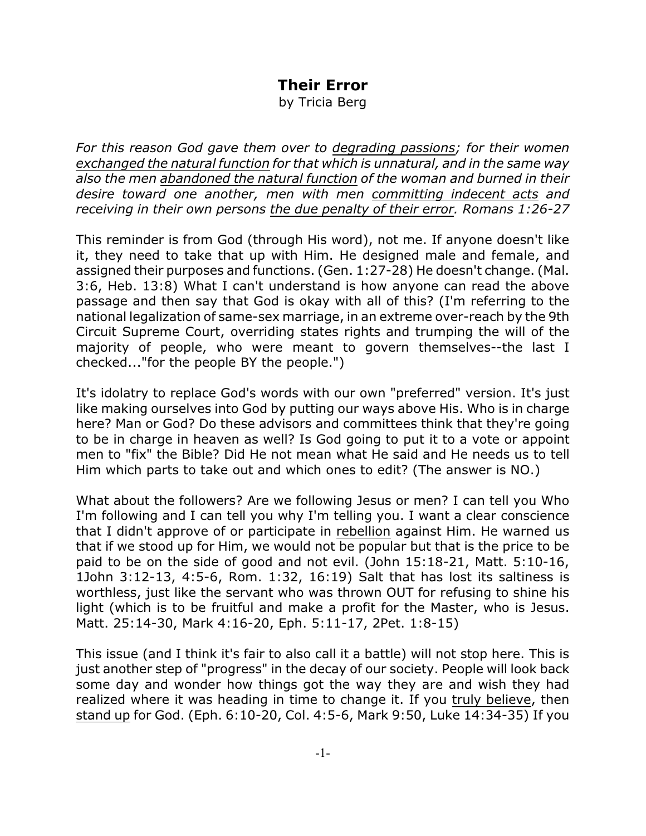## **Their Error**

by Tricia Berg

*For this reason God gave them over to degrading passions; for their women exchanged the natural function for that which is unnatural, and in the same way also the men abandoned the natural function of the woman and burned in their desire toward one another, men with men committing indecent acts and receiving in their own persons the due penalty of their error. Romans 1:26-27*

This reminder is from God (through His word), not me. If anyone doesn't like it, they need to take that up with Him. He designed male and female, and assigned their purposes and functions. (Gen. 1:27-28) He doesn't change. (Mal. 3:6, Heb. 13:8) What I can't understand is how anyone can read the above passage and then say that God is okay with all of this? (I'm referring to the national legalization of same-sex marriage, in an extreme over-reach by the 9th Circuit Supreme Court, overriding states rights and trumping the will of the majority of people, who were meant to govern themselves--the last I checked..."for the people BY the people.")

It's idolatry to replace God's words with our own "preferred" version. It's just like making ourselves into God by putting our ways above His. Who is in charge here? Man or God? Do these advisors and committees think that they're going to be in charge in heaven as well? Is God going to put it to a vote or appoint men to "fix" the Bible? Did He not mean what He said and He needs us to tell Him which parts to take out and which ones to edit? (The answer is NO.)

What about the followers? Are we following Jesus or men? I can tell you Who I'm following and I can tell you why I'm telling you. I want a clear conscience that I didn't approve of or participate in rebellion against Him. He warned us that if we stood up for Him, we would not be popular but that is the price to be paid to be on the side of good and not evil. (John 15:18-21, Matt. 5:10-16, 1John 3:12-13, 4:5-6, Rom. 1:32, 16:19) Salt that has lost its saltiness is worthless, just like the servant who was thrown OUT for refusing to shine his light (which is to be fruitful and make a profit for the Master, who is Jesus. Matt. 25:14-30, Mark 4:16-20, Eph. 5:11-17, 2Pet. 1:8-15)

This issue (and I think it's fair to also call it a battle) will not stop here. This is just another step of "progress" in the decay of our society. People will look back some day and wonder how things got the way they are and wish they had realized where it was heading in time to change it. If you truly believe, then stand up for God. (Eph. 6:10-20, Col. 4:5-6, Mark 9:50, Luke 14:34-35) If you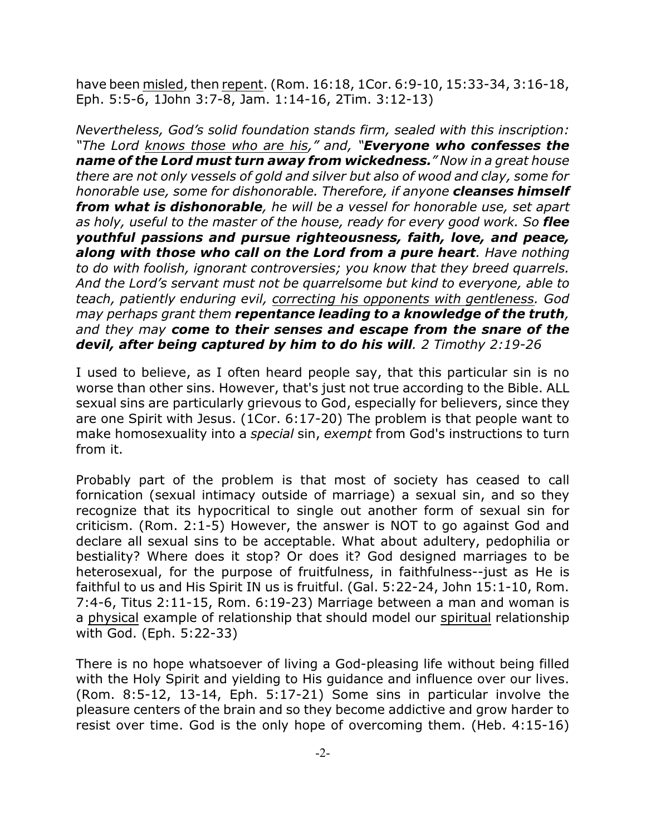have been misled, then repent. (Rom. 16:18, 1Cor. 6:9-10, 15:33-34, 3:16-18, Eph. 5:5-6, 1John 3:7-8, Jam. 1:14-16, 2Tim. 3:12-13)

*Nevertheless, God's solid foundation stands firm, sealed with this inscription: "The Lord knows those who are his," and, "Everyone who confesses the name of the Lord must turn away from wickedness." Now in a great house there are not only vessels of gold and silver but also of wood and clay, some for honorable use, some for dishonorable. Therefore, if anyone cleanses himself from what is dishonorable, he will be a vessel for honorable use, set apart as holy, useful to the master of the house, ready for every good work. So flee youthful passions and pursue righteousness, faith, love, and peace, along with those who call on the Lord from a pure heart. Have nothing to do with foolish, ignorant controversies; you know that they breed quarrels. And the Lord's servant must not be quarrelsome but kind to everyone, able to teach, patiently enduring evil, correcting his opponents with gentleness. God may perhaps grant them repentance leading to a knowledge of the truth, and they may come to their senses and escape from the snare of the devil, after being captured by him to do his will. 2 Timothy 2:19-26*

I used to believe, as I often heard people say, that this particular sin is no worse than other sins. However, that's just not true according to the Bible. ALL sexual sins are particularly grievous to God, especially for believers, since they are one Spirit with Jesus. (1Cor. 6:17-20) The problem is that people want to make homosexuality into a *special* sin, *exempt* from God's instructions to turn from it.

Probably part of the problem is that most of society has ceased to call fornication (sexual intimacy outside of marriage) a sexual sin, and so they recognize that its hypocritical to single out another form of sexual sin for criticism. (Rom. 2:1-5) However, the answer is NOT to go against God and declare all sexual sins to be acceptable. What about adultery, pedophilia or bestiality? Where does it stop? Or does it? God designed marriages to be heterosexual, for the purpose of fruitfulness, in faithfulness--just as He is faithful to us and His Spirit IN us is fruitful. (Gal. 5:22-24, John 15:1-10, Rom. 7:4-6, Titus 2:11-15, Rom. 6:19-23) Marriage between a man and woman is a physical example of relationship that should model our spiritual relationship with God. (Eph. 5:22-33)

There is no hope whatsoever of living a God-pleasing life without being filled with the Holy Spirit and yielding to His guidance and influence over our lives. (Rom. 8:5-12, 13-14, Eph. 5:17-21) Some sins in particular involve the pleasure centers of the brain and so they become addictive and grow harder to resist over time. God is the only hope of overcoming them. (Heb. 4:15-16)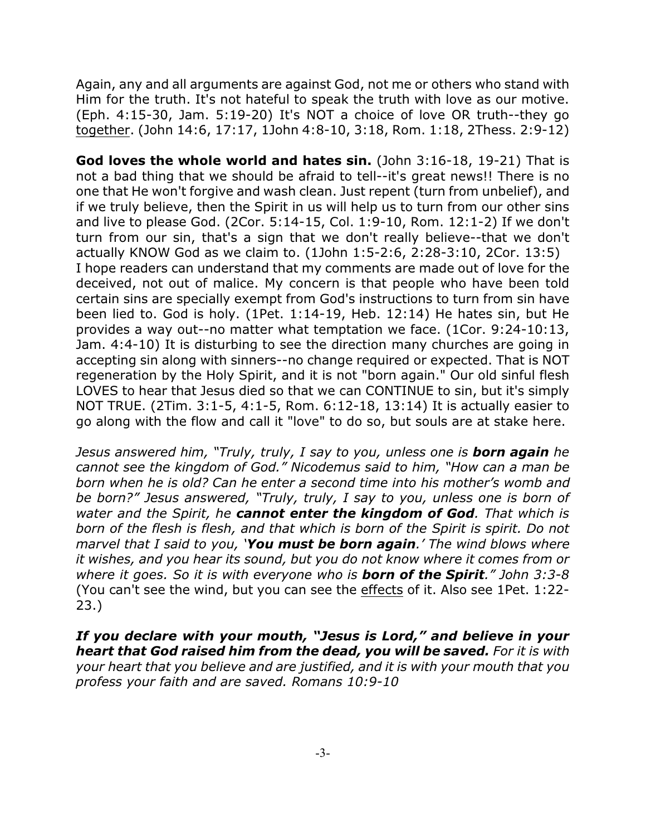Again, any and all arguments are against God, not me or others who stand with Him for the truth. It's not hateful to speak the truth with love as our motive. (Eph. 4:15-30, Jam. 5:19-20) It's NOT a choice of love OR truth--they go together. (John 14:6, 17:17, 1John 4:8-10, 3:18, Rom. 1:18, 2Thess. 2:9-12)

**God loves the whole world and hates sin.** (John 3:16-18, 19-21) That is not a bad thing that we should be afraid to tell--it's great news!! There is no one that He won't forgive and wash clean. Just repent (turn from unbelief), and if we truly believe, then the Spirit in us will help us to turn from our other sins and live to please God. (2Cor. 5:14-15, Col. 1:9-10, Rom. 12:1-2) If we don't turn from our sin, that's a sign that we don't really believe--that we don't actually KNOW God as we claim to. (1John 1:5-2:6, 2:28-3:10, 2Cor. 13:5) I hope readers can understand that my comments are made out of love for the deceived, not out of malice. My concern is that people who have been told certain sins are specially exempt from God's instructions to turn from sin have been lied to. God is holy. (1Pet. 1:14-19, Heb. 12:14) He hates sin, but He provides a way out--no matter what temptation we face. (1Cor. 9:24-10:13, Jam. 4:4-10) It is disturbing to see the direction many churches are going in accepting sin along with sinners--no change required or expected. That is NOT regeneration by the Holy Spirit, and it is not "born again." Our old sinful flesh LOVES to hear that Jesus died so that we can CONTINUE to sin, but it's simply NOT TRUE. (2Tim. 3:1-5, 4:1-5, Rom. 6:12-18, 13:14) It is actually easier to go along with the flow and call it "love" to do so, but souls are at stake here.

*Jesus answered him, "Truly, truly, I say to you, unless one is born again he cannot see the kingdom of God." Nicodemus said to him, "How can a man be born when he is old? Can he enter a second time into his mother's womb and be born?" Jesus answered, "Truly, truly, I say to you, unless one is born of water and the Spirit, he cannot enter the kingdom of God. That which is born of the flesh is flesh, and that which is born of the Spirit is spirit. Do not marvel that I said to you, 'You must be born again.' The wind blows where it wishes, and you hear its sound, but you do not know where it comes from or where it goes. So it is with everyone who is born of the Spirit." John 3:3-8* (You can't see the wind, but you can see the effects of it. Also see 1Pet. 1:22- 23.)

*If you declare with your mouth, "Jesus is Lord," and believe in your heart that God raised him from the dead, you will be saved. For it is with your heart that you believe and are justified, and it is with your mouth that you profess your faith and are saved. Romans 10:9-10*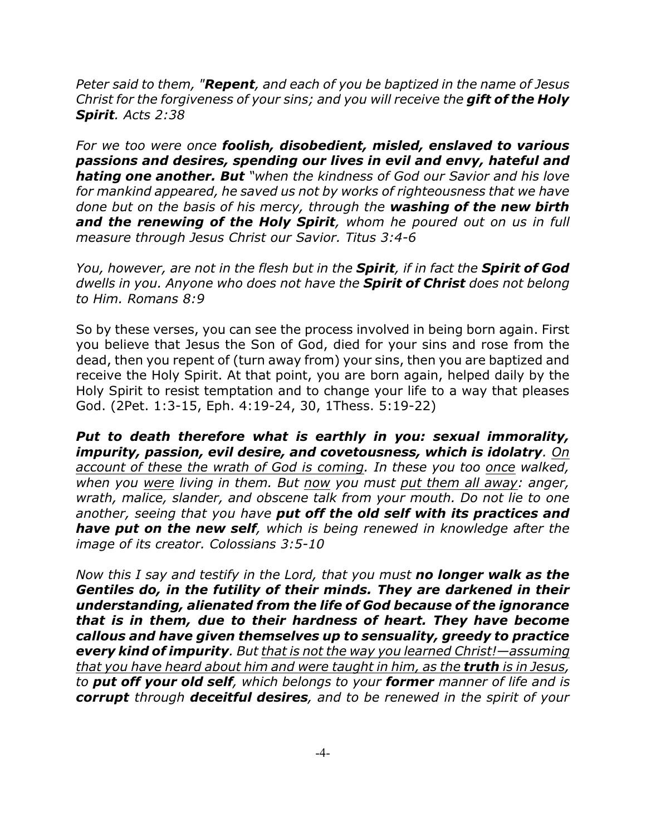*Peter said to them, "Repent, and each of you be baptized in the name of Jesus Christ for the forgiveness of your sins; and you will receive the gift of the Holy Spirit. Acts 2:38*

*For we too were once foolish, disobedient, misled, enslaved to various passions and desires, spending our lives in evil and envy, hateful and hating one another. But "when the kindness of God our Savior and his love for mankind appeared, he saved us not by works of righteousness that we have done but on the basis of his mercy, through the washing of the new birth and the renewing of the Holy Spirit, whom he poured out on us in full measure through Jesus Christ our Savior. Titus 3:4-6*

*You, however, are not in the flesh but in the Spirit, if in fact the Spirit of God dwells in you. Anyone who does not have the Spirit of Christ does not belong to Him. Romans 8:9*

So by these verses, you can see the process involved in being born again. First you believe that Jesus the Son of God, died for your sins and rose from the dead, then you repent of (turn away from) your sins, then you are baptized and receive the Holy Spirit. At that point, you are born again, helped daily by the Holy Spirit to resist temptation and to change your life to a way that pleases God. (2Pet. 1:3-15, Eph. 4:19-24, 30, 1Thess. 5:19-22)

*Put to death therefore what is earthly in you: sexual immorality, impurity, passion, evil desire, and covetousness, which is idolatry. On account of these the wrath of God is coming. In these you too once walked, when you were living in them. But now you must put them all away: anger, wrath, malice, slander, and obscene talk from your mouth. Do not lie to one another, seeing that you have put off the old self with its practices and have put on the new self, which is being renewed in knowledge after the image of its creator. Colossians 3:5-10*

*Now this I say and testify in the Lord, that you must no longer walk as the Gentiles do, in the futility of their minds. They are darkened in their understanding, alienated from the life of God because of the ignorance that is in them, due to their hardness of heart. They have become callous and have given themselves up to sensuality, greedy to practice every kind of impurity. But that is not the way you learned Christ!—assuming that you have heard about him and were taught in him, as the truth is in Jesus, to put off your old self, which belongs to your former manner of life and is corrupt through deceitful desires, and to be renewed in the spirit of your*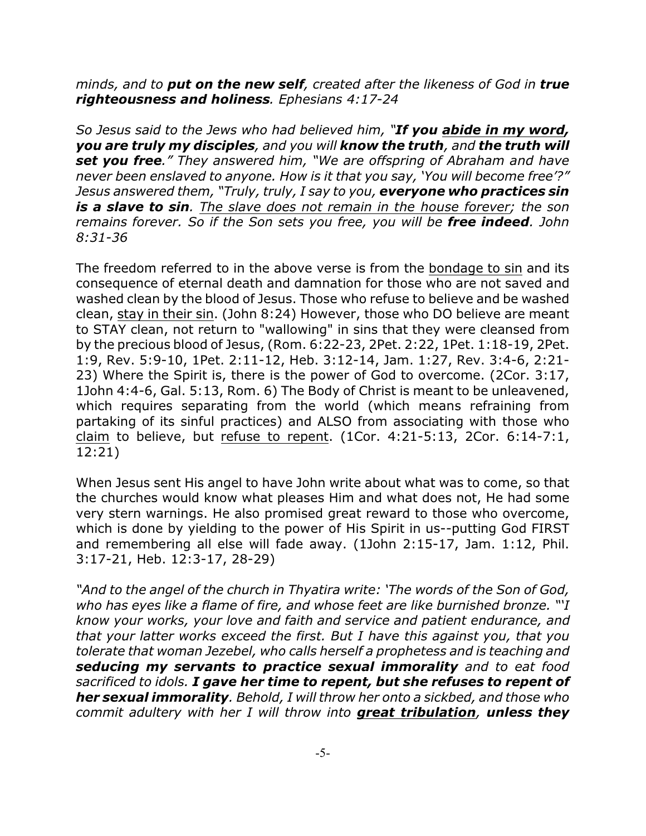*minds, and to put on the new self, created after the likeness of God in true righteousness and holiness. Ephesians 4:17-24*

*So Jesus said to the Jews who had believed him, "If you abide in my word, you are truly my disciples, and you will know the truth, and the truth will set you free." They answered him, "We are offspring of Abraham and have never been enslaved to anyone. How is it that you say, 'You will become free'?" Jesus answered them, "Truly, truly, I say to you, everyone who practices sin is a slave to sin. The slave does not remain in the house forever; the son remains forever. So if the Son sets you free, you will be free indeed. John 8:31-36*

The freedom referred to in the above verse is from the bondage to sin and its consequence of eternal death and damnation for those who are not saved and washed clean by the blood of Jesus. Those who refuse to believe and be washed clean, stay in their sin. (John 8:24) However, those who DO believe are meant to STAY clean, not return to "wallowing" in sins that they were cleansed from by the precious blood of Jesus, (Rom. 6:22-23, 2Pet. 2:22, 1Pet. 1:18-19, 2Pet. 1:9, Rev. 5:9-10, 1Pet. 2:11-12, Heb. 3:12-14, Jam. 1:27, Rev. 3:4-6, 2:21- 23) Where the Spirit is, there is the power of God to overcome. (2Cor. 3:17, 1John 4:4-6, Gal. 5:13, Rom. 6) The Body of Christ is meant to be unleavened, which requires separating from the world (which means refraining from partaking of its sinful practices) and ALSO from associating with those who claim to believe, but refuse to repent. (1Cor. 4:21-5:13, 2Cor. 6:14-7:1, 12:21)

When Jesus sent His angel to have John write about what was to come, so that the churches would know what pleases Him and what does not, He had some very stern warnings. He also promised great reward to those who overcome, which is done by yielding to the power of His Spirit in us--putting God FIRST and remembering all else will fade away. (1John 2:15-17, Jam. 1:12, Phil. 3:17-21, Heb. 12:3-17, 28-29)

*"And to the angel of the church in Thyatira write: 'The words of the Son of God, who has eyes like a flame of fire, and whose feet are like burnished bronze. "'I know your works, your love and faith and service and patient endurance, and that your latter works exceed the first. But I have this against you, that you tolerate that woman Jezebel, who calls herself a prophetess and is teaching and seducing my servants to practice sexual immorality and to eat food sacrificed to idols. I gave her time to repent, but she refuses to repent of her sexual immorality. Behold, I will throw her onto a sickbed, and those who commit adultery with her I will throw into great tribulation, unless they*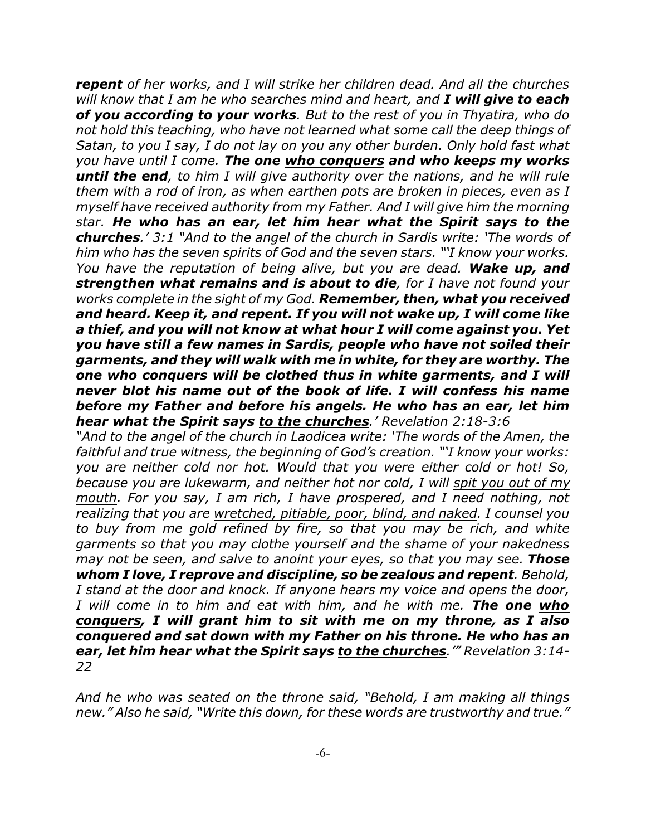*repent of her works, and I will strike her children dead. And all the churches will know that I am he who searches mind and heart, and I will give to each of you according to your works. But to the rest of you in Thyatira, who do not hold this teaching, who have not learned what some call the deep things of Satan, to you I say, I do not lay on you any other burden. Only hold fast what you have until I come. The one who conquers and who keeps my works until the end, to him I will give authority over the nations, and he will rule them with a rod of iron, as when earthen pots are broken in pieces, even as I myself have received authority from my Father. And I will give him the morning star. He who has an ear, let him hear what the Spirit says to the churches.' 3:1 "And to the angel of the church in Sardis write: 'The words of him who has the seven spirits of God and the seven stars. "'I know your works. You have the reputation of being alive, but you are dead. Wake up, and strengthen what remains and is about to die, for I have not found your works complete in the sight of my God. Remember, then, what you received and heard. Keep it, and repent. If you will not wake up, I will come like a thief, and you will not know at what hour I will come against you. Yet you have still a few names in Sardis, people who have not soiled their garments, and they will walk with me in white, for they are worthy. The one who conquers will be clothed thus in white garments, and I will never blot his name out of the book of life. I will confess his name before my Father and before his angels. He who has an ear, let him hear what the Spirit says to the churches.' Revelation 2:18-3:6*

*"And to the angel of the church in Laodicea write: 'The words of the Amen, the faithful and true witness, the beginning of God's creation. "'I know your works: you are neither cold nor hot. Would that you were either cold or hot! So, because you are lukewarm, and neither hot nor cold, I will spit you out of my mouth. For you say, I am rich, I have prospered, and I need nothing, not realizing that you are wretched, pitiable, poor, blind, and naked. I counsel you to buy from me gold refined by fire, so that you may be rich, and white garments so that you may clothe yourself and the shame of your nakedness may not be seen, and salve to anoint your eyes, so that you may see. Those whom I love, I reprove and discipline, so be zealous and repent. Behold, I stand at the door and knock. If anyone hears my voice and opens the door, I will come in to him and eat with him, and he with me. The one who conquers, I will grant him to sit with me on my throne, as I also conquered and sat down with my Father on his throne. He who has an ear, let him hear what the Spirit says to the churches.'" Revelation 3:14- 22*

*And he who was seated on the throne said, "Behold, I am making all things new." Also he said, "Write this down, for these words are trustworthy and true."*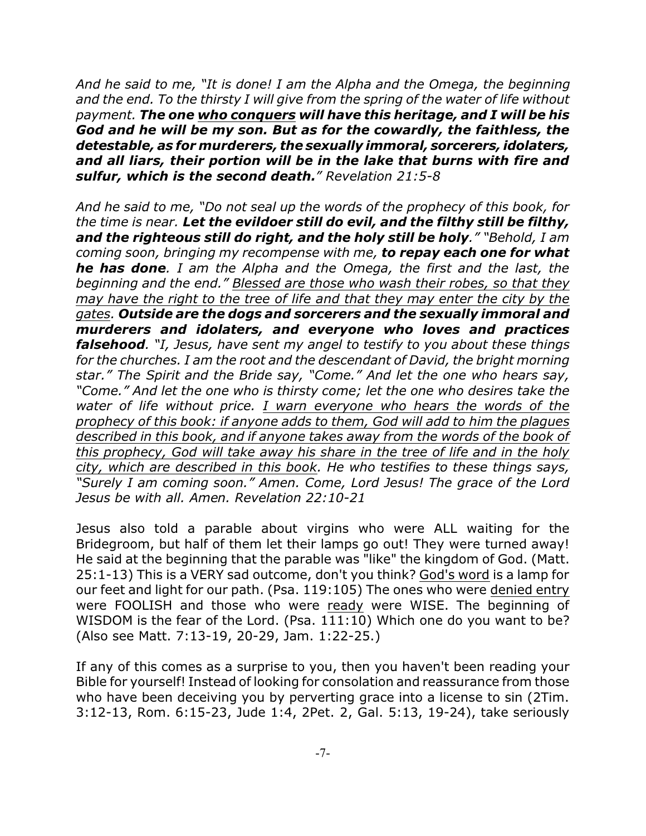*And he said to me, "It is done! I am the Alpha and the Omega, the beginning and the end. To the thirsty I will give from the spring of the water of life without payment. The one who conquers will have this heritage, and I will be his God and he will be my son. But as for the cowardly, the faithless, the detestable, as for murderers, the sexually immoral, sorcerers, idolaters, and all liars, their portion will be in the lake that burns with fire and sulfur, which is the second death." Revelation 21:5-8*

*And he said to me, "Do not seal up the words of the prophecy of this book, for the time is near. Let the evildoer still do evil, and the filthy still be filthy, and the righteous still do right, and the holy still be holy." "Behold, I am coming soon, bringing my recompense with me, to repay each one for what he has done. I am the Alpha and the Omega, the first and the last, the beginning and the end." Blessed are those who wash their robes, so that they may have the right to the tree of life and that they may enter the city by the gates. Outside are the dogs and sorcerers and the sexually immoral and murderers and idolaters, and everyone who loves and practices falsehood. "I, Jesus, have sent my angel to testify to you about these things for the churches. I am the root and the descendant of David, the bright morning star." The Spirit and the Bride say, "Come." And let the one who hears say, "Come." And let the one who is thirsty come; let the one who desires take the water of life without price. I warn everyone who hears the words of the prophecy of this book: if anyone adds to them, God will add to him the plagues described in this book, and if anyone takes away from the words of the book of this prophecy, God will take away his share in the tree of life and in the holy city, which are described in this book. He who testifies to these things says, "Surely I am coming soon." Amen. Come, Lord Jesus! The grace of the Lord Jesus be with all. Amen. Revelation 22:10-21*

Jesus also told a parable about virgins who were ALL waiting for the Bridegroom, but half of them let their lamps go out! They were turned away! He said at the beginning that the parable was "like" the kingdom of God. (Matt. 25:1-13) This is a VERY sad outcome, don't you think? God's word is a lamp for our feet and light for our path. (Psa. 119:105) The ones who were denied entry were FOOLISH and those who were ready were WISE. The beginning of WISDOM is the fear of the Lord. (Psa. 111:10) Which one do you want to be? (Also see Matt. 7:13-19, 20-29, Jam. 1:22-25.)

If any of this comes as a surprise to you, then you haven't been reading your Bible for yourself! Instead of looking for consolation and reassurance from those who have been deceiving you by perverting grace into a license to sin (2Tim. 3:12-13, Rom. 6:15-23, Jude 1:4, 2Pet. 2, Gal. 5:13, 19-24), take seriously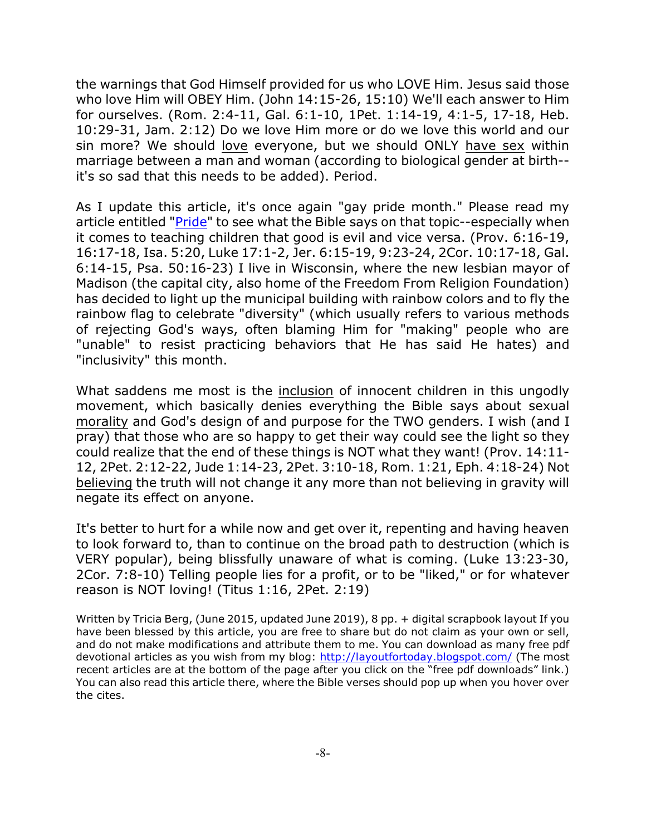the warnings that God Himself provided for us who LOVE Him. Jesus said those who love Him will OBEY Him. (John 14:15-26, 15:10) We'll each answer to Him for ourselves. (Rom. 2:4-11, Gal. 6:1-10, 1Pet. 1:14-19, 4:1-5, 17-18, Heb. 10:29-31, Jam. 2:12) Do we love Him more or do we love this world and our sin more? We should love everyone, but we should ONLY have sex within marriage between a man and woman (according to biological gender at birth- it's so sad that this needs to be added). Period.

As I update this article, it's once again "gay pride month." Please read my article entitled ["Pride](https://drive.google.com/file/d/194floGuMGA0YpOapTaBTkMR3CEoDTOiM/view?usp=sharing)" to see what the Bible says on that topic--especially when it comes to teaching children that good is evil and vice versa. (Prov. 6:16-19, 16:17-18, Isa. 5:20, Luke 17:1-2, Jer. 6:15-19, 9:23-24, 2Cor. 10:17-18, Gal. 6:14-15, Psa. 50:16-23) I live in Wisconsin, where the new lesbian mayor of Madison (the capital city, also home of the Freedom From Religion Foundation) has decided to light up the municipal building with rainbow colors and to fly the rainbow flag to celebrate "diversity" (which usually refers to various methods of rejecting God's ways, often blaming Him for "making" people who are "unable" to resist practicing behaviors that He has said He hates) and "inclusivity" this month.

What saddens me most is the inclusion of innocent children in this ungodly movement, which basically denies everything the Bible says about sexual morality and God's design of and purpose for the TWO genders. I wish (and I pray) that those who are so happy to get their way could see the light so they could realize that the end of these things is NOT what they want! (Prov. 14:11- 12, 2Pet. 2:12-22, Jude 1:14-23, 2Pet. 3:10-18, Rom. 1:21, Eph. 4:18-24) Not believing the truth will not change it any more than not believing in gravity will negate its effect on anyone.

It's better to hurt for a while now and get over it, repenting and having heaven to look forward to, than to continue on the broad path to destruction (which is VERY popular), being blissfully unaware of what is coming. (Luke 13:23-30, 2Cor. 7:8-10) Telling people lies for a profit, or to be "liked," or for whatever reason is NOT loving! (Titus 1:16, 2Pet. 2:19)

Written by Tricia Berg, (June 2015, updated June 2019), 8 pp. + digital scrapbook layout If you have been blessed by this article, you are free to share but do not claim as your own or sell, and do not make modifications and attribute them to me. You can download as many free pdf devotional articles as you wish from my blog:<http://layoutfortoday.blogspot.com/> (The most recent articles are at the bottom of the page after you click on the "free pdf downloads" link.) You can also read this article there, where the Bible verses should pop up when you hover over the cites.